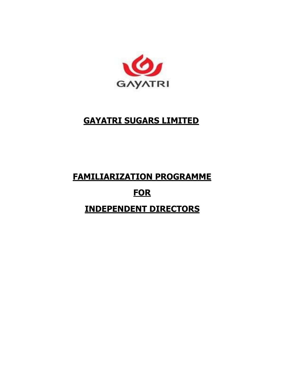

## **GAYATRI SUGARS LIMITED**

# **FAMILIARIZATION PROGRAMME FOR INDEPENDENT DIRECTORS**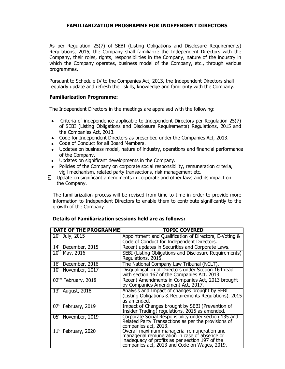### **FAMILIARIZATION PROGRAMME FOR INDEPENDENT DIRECTORS**

As per Regulation 25(7) of SEBI (Listing Obligations and Disclosure Requirements) Regulations, 2015, the Company shall familiarize the Independent Directors with the Company, their roles, rights, responsibilities in the Company, nature of the industry in which the Company operates, business model of the Company, etc., through various programmes.

Pursuant to Schedule IV to the Companies Act, 2013, the Independent Directors shall regularly update and refresh their skills, knowledge and familiarity with the Company.

#### **Familiarization Programme:**

The Independent Directors in the meetings are appraised with the following:

- Criteria of independence applicable to Independent Directors per Regulation 25(7) of SEBI (Listing Obligations and Disclosure Requirements) Regulations, 2015 and the Companies Act, 2013.
- Code for Independent Directors as prescribed under the Companies Act, 2013.
- Code of Conduct for all Board Members.
- Updates on business model, nature of industry, operations and financial performance of the Company.
- Updates on significant developments in the Company.
- Policies of the Company on corporate social responsibility, remuneration criteria, vigil mechanism, related party transactions, risk management etc.
- Update on significant amendments in corporate and other laws and its impact on the Company.

The familiarization process will be revised from time to time in order to provide more information to Independent Directors to enable them to contribute significantly to the growth of the Company.

#### **Details of Familiarization sessions held are as follows:**

| <b>DATE OF THE PROGRAMME</b>    | <b>TOPIC COVERED</b>                                   |
|---------------------------------|--------------------------------------------------------|
| $20^{th}$ July, 2015            | Appointment and Qualification of Directors, E-Voting & |
|                                 | Code of Conduct for Independent Directors.             |
| $14th$ December, 2015           | Recent updates in Securities and Corporate Laws.       |
| $20^{th}$ May, 2016             | SEBI (Listing Obligations and Disclosure Requirements) |
|                                 | Regulations, 2015.                                     |
| $16th$ December, 2016           | The National Company Law Tribunal (NCLT).              |
| 10th November, 2017             | Disqualification of Directors under Section 164 read   |
|                                 | with section 167 of the Companies Act, 2013.           |
| 02 <sup>nd</sup> February, 2018 | Recent Amendments in Companies Act, 2013 brought       |
|                                 | by Companies Amendment Act, 2017.                      |
| $13m$ August, 2018              | Analysis and Impact of changes brought by SEBI         |
|                                 | (Listing Obligations & Requirements Regulations), 2015 |
|                                 | as amended.                                            |
| 07 <sup>th</sup> February, 2019 | Impact of Changes brought by SEBI (Prevention of       |
|                                 | Insider Trading) regulations, 2015 as amended.         |
| 05th November, 2019             | Corporate Social Responsibility under section 135 and  |
|                                 | Related Party Transactions as per the provisions of    |
|                                 | companies act, 2013.                                   |
| $11^{\text{m}}$ February, 2020  | Overall maximum managerial remuneration and            |
|                                 | managerial remuneration in case of absence or          |
|                                 | inadequacy of profits as per section 197 of the        |
|                                 | companies act, 2013 and Code on Wages, 2019.           |